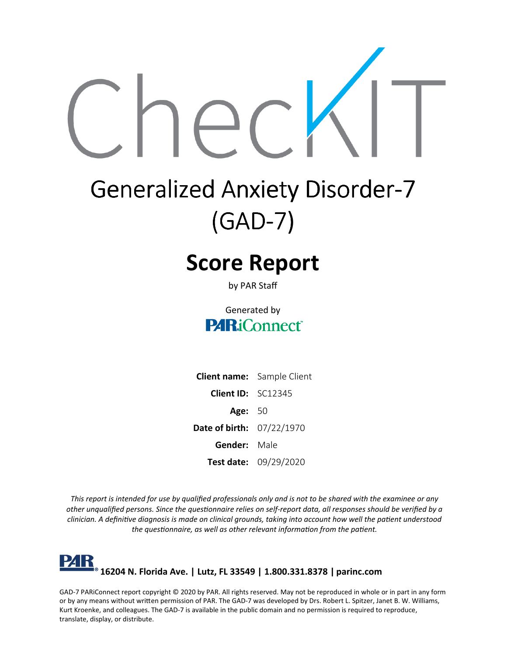

# **Generalized Anxiety Disorder-7 (GAD-7)**

# **Score Report**

by PAR Staff

#### Generated by **PARiConnect**

|                                  | <b>Client name:</b> Sample Client |
|----------------------------------|-----------------------------------|
| <b>Client ID: SC12345</b>        |                                   |
| <b>Age: 50</b>                   |                                   |
| <b>Date of birth: 07/22/1970</b> |                                   |
| <b>Gender:</b> Male              |                                   |
|                                  | Test date: 09/29/2020             |

This report is intended for use by qualified professionals only and is not to be shared with the examinee or any other unqualified persons. Since the questionnaire relies on self-report data, all responses should be verified by a clinician. A definitive diagnosis is made on clinical grounds, taking into account how well the patient understood *the questionnaire, as well as other relevant information from the patient.*

#### l'4K **16204 N. Florida Ave. | Lutz, FL 33549 | 1.800.331.8378 | [parinc.com](http://www.parinc.com/)**

GAD-7 PARiConnect report copyright © 2020 by PAR. All rights reserved. May not be reproduced in whole or in part in any form or by any means without written permission of PAR. The GAD-7 was developed by Drs. Robert L. Spitzer, Janet B. W. Williams, Kurt Kroenke, and colleagues. The GAD-7 is available in the public domain and no permission is required to reproduce, translate, display, or distribute.